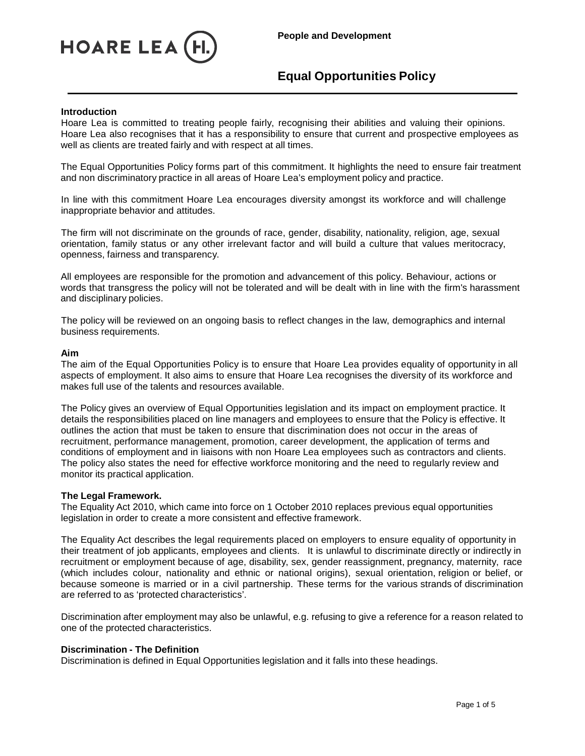

## **Introduction**

Hoare Lea is committed to treating people fairly, recognising their abilities and valuing their opinions. Hoare Lea also recognises that it has a responsibility to ensure that current and prospective employees as well as clients are treated fairly and with respect at all times.

The Equal Opportunities Policy forms part of this commitment. It highlights the need to ensure fair treatment and non discriminatory practice in all areas of Hoare Lea's employment policy and practice.

In line with this commitment Hoare Lea encourages diversity amongst its workforce and will challenge inappropriate behavior and attitudes.

The firm will not discriminate on the grounds of race, gender, disability, nationality, religion, age, sexual orientation, family status or any other irrelevant factor and will build a culture that values meritocracy, openness, fairness and transparency.

All employees are responsible for the promotion and advancement of this policy. Behaviour, actions or words that transgress the policy will not be tolerated and will be dealt with in line with the firm's harassment and disciplinary policies.

The policy will be reviewed on an ongoing basis to reflect changes in the law, demographics and internal business requirements.

## **Aim**

The aim of the Equal Opportunities Policy is to ensure that Hoare Lea provides equality of opportunity in all aspects of employment. It also aims to ensure that Hoare Lea recognises the diversity of its workforce and makes full use of the talents and resources available.

The Policy gives an overview of Equal Opportunities legislation and its impact on employment practice. It details the responsibilities placed on line managers and employees to ensure that the Policy is effective. It outlines the action that must be taken to ensure that discrimination does not occur in the areas of recruitment, performance management, promotion, career development, the application of terms and conditions of employment and in liaisons with non Hoare Lea employees such as contractors and clients. The policy also states the need for effective workforce monitoring and the need to regularly review and monitor its practical application.

## **The Legal Framework.**

The Equality Act 2010, which came into force on 1 October 2010 replaces previous equal opportunities legislation in order to create a more consistent and effective framework.

The Equality Act describes the legal requirements placed on employers to ensure equality of opportunity in their treatment of job applicants, employees and clients. It is unlawful to discriminate directly or indirectly in recruitment or employment because of age, disability, sex, gender reassignment, pregnancy, maternity, race (which includes colour, nationality and ethnic or national origins), sexual orientation, religion or belief, or because someone is married or in a civil partnership. These terms for the various strands of discrimination are referred to as 'protected characteristics'.

Discrimination after employment may also be unlawful, e.g. refusing to give a reference for a reason related to one of the protected characteristics.

## **Discrimination - The Definition**

Discrimination is defined in Equal Opportunities legislation and it falls into these headings.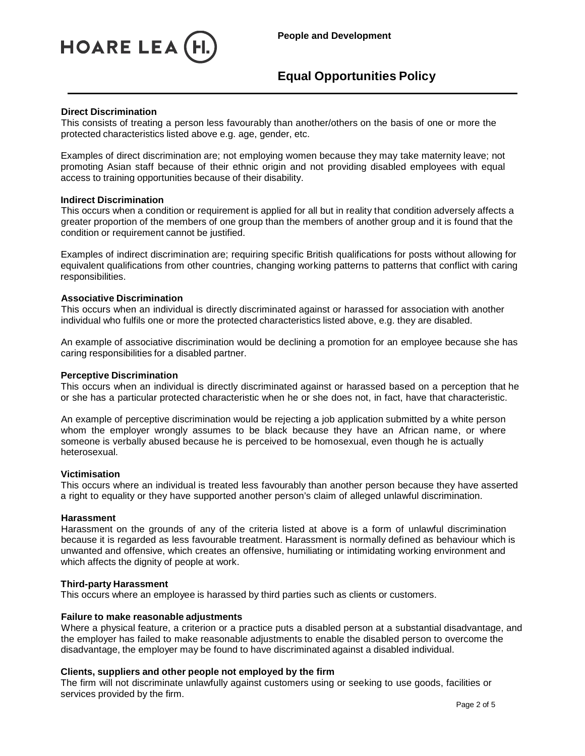

# **Direct Discrimination**

This consists of treating a person less favourably than another/others on the basis of one or more the protected characteristics listed above e.g. age, gender, etc.

Examples of direct discrimination are; not employing women because they may take maternity leave; not promoting Asian staff because of their ethnic origin and not providing disabled employees with equal access to training opportunities because of their disability.

## **Indirect Discrimination**

This occurs when a condition or requirement is applied for all but in reality that condition adversely affects a greater proportion of the members of one group than the members of another group and it is found that the condition or requirement cannot be justified.

Examples of indirect discrimination are; requiring specific British qualifications for posts without allowing for equivalent qualifications from other countries, changing working patterns to patterns that conflict with caring responsibilities.

## **Associative Discrimination**

This occurs when an individual is directly discriminated against or harassed for association with another individual who fulfils one or more the protected characteristics listed above, e.g. they are disabled.

An example of associative discrimination would be declining a promotion for an employee because she has caring responsibilities for a disabled partner.

## **Perceptive Discrimination**

This occurs when an individual is directly discriminated against or harassed based on a perception that he or she has a particular protected characteristic when he or she does not, in fact, have that characteristic.

An example of perceptive discrimination would be rejecting a job application submitted by a white person whom the employer wrongly assumes to be black because they have an African name, or where someone is verbally abused because he is perceived to be homosexual, even though he is actually heterosexual.

## **Victimisation**

This occurs where an individual is treated less favourably than another person because they have asserted a right to equality or they have supported another person's claim of alleged unlawful discrimination.

## **Harassment**

Harassment on the grounds of any of the criteria listed at above is a form of unlawful discrimination because it is regarded as less favourable treatment. Harassment is normally defined as behaviour which is unwanted and offensive, which creates an offensive, humiliating or intimidating working environment and which affects the dignity of people at work.

## **Third-party Harassment**

This occurs where an employee is harassed by third parties such as clients or customers.

## **Failure to make reasonable adjustments**

Where a physical feature, a criterion or a practice puts a disabled person at a substantial disadvantage, and the employer has failed to make reasonable adjustments to enable the disabled person to overcome the disadvantage, the employer may be found to have discriminated against a disabled individual.

# **Clients, suppliers and other people not employed by the firm**

The firm will not discriminate unlawfully against customers using or seeking to use goods, facilities or services provided by the firm.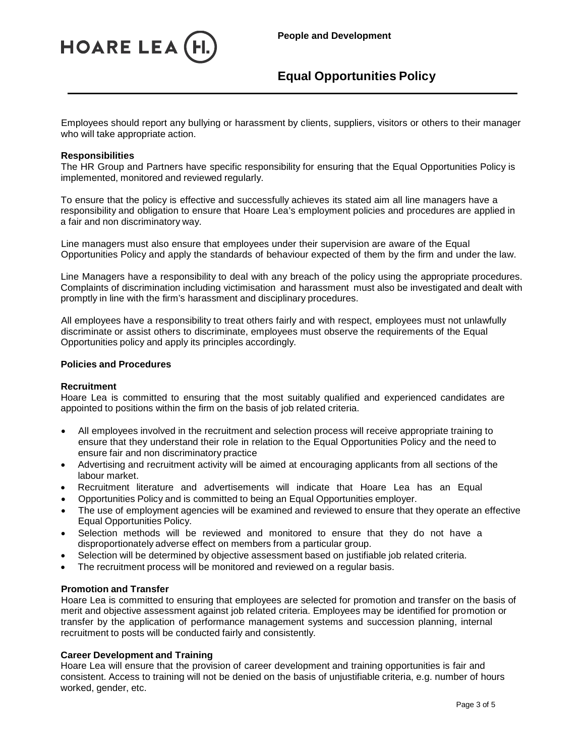

Employees should report any bullying or harassment by clients, suppliers, visitors or others to their manager who will take appropriate action.

## **Responsibilities**

The HR Group and Partners have specific responsibility for ensuring that the Equal Opportunities Policy is implemented, monitored and reviewed regularly.

To ensure that the policy is effective and successfully achieves its stated aim all line managers have a responsibility and obligation to ensure that Hoare Lea's employment policies and procedures are applied in a fair and non discriminatory way.

Line managers must also ensure that employees under their supervision are aware of the Equal Opportunities Policy and apply the standards of behaviour expected of them by the firm and under the law.

Line Managers have a responsibility to deal with any breach of the policy using the appropriate procedures. Complaints of discrimination including victimisation and harassment must also be investigated and dealt with promptly in line with the firm's harassment and disciplinary procedures.

All employees have a responsibility to treat others fairly and with respect, employees must not unlawfully discriminate or assist others to discriminate, employees must observe the requirements of the Equal Opportunities policy and apply its principles accordingly.

# **Policies and Procedures**

## **Recruitment**

Hoare Lea is committed to ensuring that the most suitably qualified and experienced candidates are appointed to positions within the firm on the basis of job related criteria.

- All employees involved in the recruitment and selection process will receive appropriate training to ensure that they understand their role in relation to the Equal Opportunities Policy and the need to ensure fair and non discriminatory practice
- Advertising and recruitment activity will be aimed at encouraging applicants from all sections of the labour market.
- Recruitment literature and advertisements will indicate that Hoare Lea has an Equal
- Opportunities Policy and is committed to being an Equal Opportunities employer.
- The use of employment agencies will be examined and reviewed to ensure that they operate an effective Equal Opportunities Policy.
- Selection methods will be reviewed and monitored to ensure that they do not have a disproportionately adverse effect on members from a particular group.
- Selection will be determined by objective assessment based on justifiable job related criteria.
- The recruitment process will be monitored and reviewed on a regular basis.

## **Promotion and Transfer**

Hoare Lea is committed to ensuring that employees are selected for promotion and transfer on the basis of merit and objective assessment against job related criteria. Employees may be identified for promotion or transfer by the application of performance management systems and succession planning, internal recruitment to posts will be conducted fairly and consistently.

## **Career Development and Training**

Hoare Lea will ensure that the provision of career development and training opportunities is fair and consistent. Access to training will not be denied on the basis of unjustifiable criteria, e.g. number of hours worked, gender, etc.